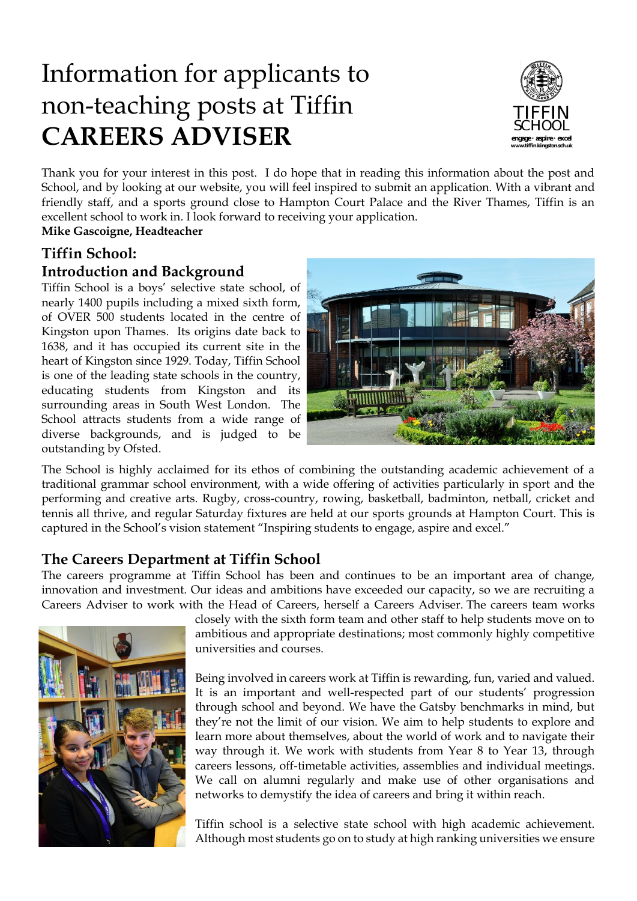# Information for applicants to non-teaching posts at Tiffin **CAREERS ADVISER**



Thank you for your interest in this post. I do hope that in reading this information about the post and School, and by looking at our website, you will feel inspired to submit an application. With a vibrant and friendly staff, and a sports ground close to Hampton Court Palace and the River Thames, Tiffin is an excellent school to work in. I look forward to receiving your application.

**Mike Gascoigne, Headteacher**

# **Tiffin School:**

# **Introduction and Background**

Tiffin School is a boys' selective state school, of nearly 1400 pupils including a mixed sixth form, of OVER 500 students located in the centre of Kingston upon Thames. Its origins date back to 1638, and it has occupied its current site in the heart of Kingston since 1929. Today, Tiffin School is one of the leading state schools in the country, educating students from Kingston and its surrounding areas in South West London. The School attracts students from a wide range of diverse backgrounds, and is judged to be outstanding by Ofsted.



The School is highly acclaimed for its ethos of combining the outstanding academic achievement of a traditional grammar school environment, with a wide offering of activities particularly in sport and the performing and creative arts. Rugby, cross-country, rowing, basketball, badminton, netball, cricket and tennis all thrive, and regular Saturday fixtures are held at our sports grounds at Hampton Court. This is captured in the School's vision statement "Inspiring students to engage, aspire and excel."

# **The Careers Department at Tiffin School**

The careers programme at Tiffin School has been and continues to be an important area of change, innovation and investment. Our ideas and ambitions have exceeded our capacity, so we are recruiting a Careers Adviser to work with the Head of Careers, herself a Careers Adviser. The careers team works



closely with the sixth form team and other staff to help students move on to ambitious and appropriate destinations; most commonly highly competitive universities and courses.

Being involved in careers work at Tiffin is rewarding, fun, varied and valued. It is an important and well-respected part of our students' progression through school and beyond. We have the Gatsby benchmarks in mind, but they're not the limit of our vision. We aim to help students to explore and learn more about themselves, about the world of work and to navigate their way through it. We work with students from Year 8 to Year 13, through careers lessons, off-timetable activities, assemblies and individual meetings. We call on alumni regularly and make use of other organisations and networks to demystify the idea of careers and bring it within reach.

Tiffin school is a selective state school with high academic achievement. Although most students go on to study at high ranking universities we ensure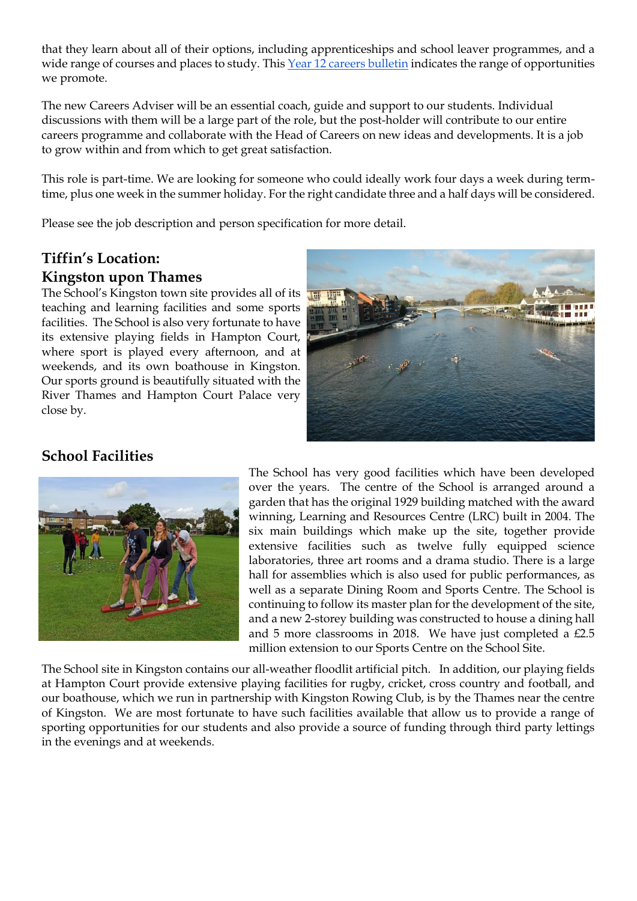that they learn about all of their options, including apprenticeships and school leaver programmes, and a wide range of courses and places to study. This [Year 12 careers bulletin](https://mailchi.mp/84d30c5976e0/opportunities-bulletin-careersfuture-related-19081350) indicates the range of opportunities we promote.

The new Careers Adviser will be an essential coach, guide and support to our students. Individual discussions with them will be a large part of the role, but the post-holder will contribute to our entire careers programme and collaborate with the Head of Careers on new ideas and developments. It is a job to grow within and from which to get great satisfaction.

This role is part-time. We are looking for someone who could ideally work four days a week during termtime, plus one week in the summer holiday. For the right candidate three and a half days will be considered.

Please see the job description and person specification for more detail.

# **Tiffin's Location: Kingston upon Thames**

The School's Kingston town site provides all of its teaching and learning facilities and some sports facilities. The School is also very fortunate to have its extensive playing fields in Hampton Court, where sport is played every afternoon, and at weekends, and its own boathouse in Kingston. Our sports ground is beautifully situated with the River Thames and Hampton Court Palace very close by.



# **School Facilities**



The School has very good facilities which have been developed over the years. The centre of the School is arranged around a garden that has the original 1929 building matched with the award winning, Learning and Resources Centre (LRC) built in 2004. The six main buildings which make up the site, together provide extensive facilities such as twelve fully equipped science laboratories, three art rooms and a drama studio. There is a large hall for assemblies which is also used for public performances, as well as a separate Dining Room and Sports Centre. The School is continuing to follow its master plan for the development of the site, and a new 2-storey building was constructed to house a dining hall and 5 more classrooms in 2018. We have just completed a £2.5 million extension to our Sports Centre on the School Site.

The School site in Kingston contains our all-weather floodlit artificial pitch. In addition, our playing fields at Hampton Court provide extensive playing facilities for rugby, cricket, cross country and football, and our boathouse, which we run in partnership with Kingston Rowing Club, is by the Thames near the centre of Kingston. We are most fortunate to have such facilities available that allow us to provide a range of sporting opportunities for our students and also provide a source of funding through third party lettings in the evenings and at weekends.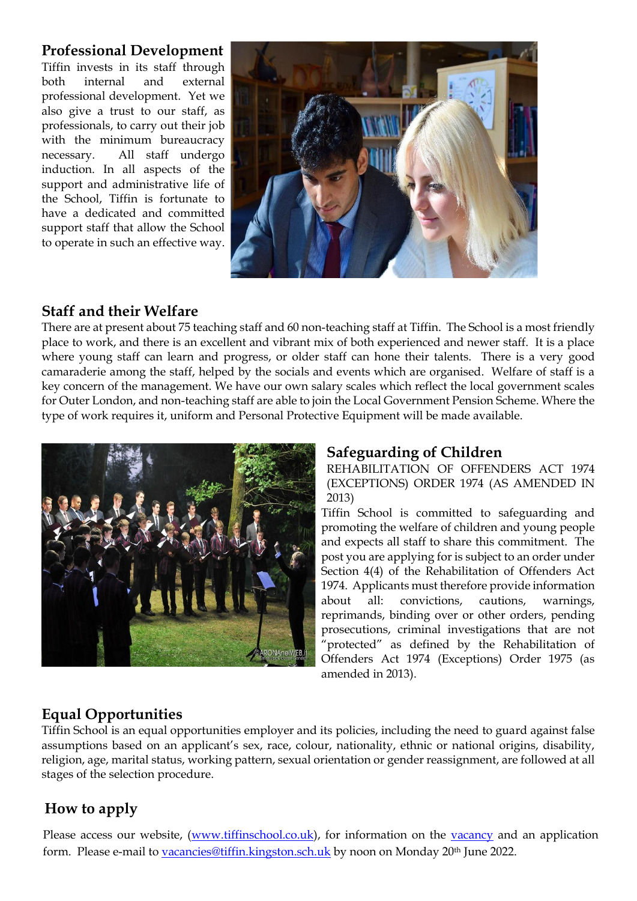# **Professional Development**

Tiffin invests in its staff through both internal and external professional development. Yet we also give a trust to our staff, as professionals, to carry out their job with the minimum bureaucracy necessary. All staff undergo induction. In all aspects of the support and administrative life of the School, Tiffin is fortunate to have a dedicated and committed support staff that allow the School to operate in such an effective way.



# **Staff and their Welfare**

There are at present about 75 teaching staff and 60 non-teaching staff at Tiffin. The School is a most friendly place to work, and there is an excellent and vibrant mix of both experienced and newer staff. It is a place where young staff can learn and progress, or older staff can hone their talents. There is a very good camaraderie among the staff, helped by the socials and events which are organised. Welfare of staff is a key concern of the management. We have our own salary scales which reflect the local government scales for Outer London, and non-teaching staff are able to join the Local Government Pension Scheme. Where the type of work requires it, uniform and Personal Protective Equipment will be made available.



## **Safeguarding of Children**

REHABILITATION OF OFFENDERS ACT 1974 (EXCEPTIONS) ORDER 1974 (AS AMENDED IN 2013)

Tiffin School is committed to safeguarding and promoting the welfare of children and young people and expects all staff to share this commitment. The post you are applying for is subject to an order under Section 4(4) of the Rehabilitation of Offenders Act 1974. Applicants must therefore provide information about all: convictions, cautions, warnings, reprimands, binding over or other orders, pending prosecutions, criminal investigations that are not "protected" as defined by the Rehabilitation of Offenders Act 1974 (Exceptions) Order 1975 (as amended in 2013).

# **Equal Opportunities**

Tiffin School is an equal opportunities employer and its policies, including the need to guard against false assumptions based on an applicant's sex, race, colour, nationality, ethnic or national origins, disability, religion, age, marital status, working pattern, sexual orientation or gender reassignment, are followed at all stages of the selection procedure.

# **How to apply**

Please access our website, [\(www.tiffinschool.co.uk\)](http://www.tiffinschool.co.uk/), for information on the [vacancy](http://www.tiffinschool.co.uk/about/vacancies.html) and an application form. Please e-mail to [vacancies@tiffin.kingston.sch.uk](mailto:vacancies@tiffin.kingston.sch.uk) by noon on Monday 20<sup>th</sup> June 2022.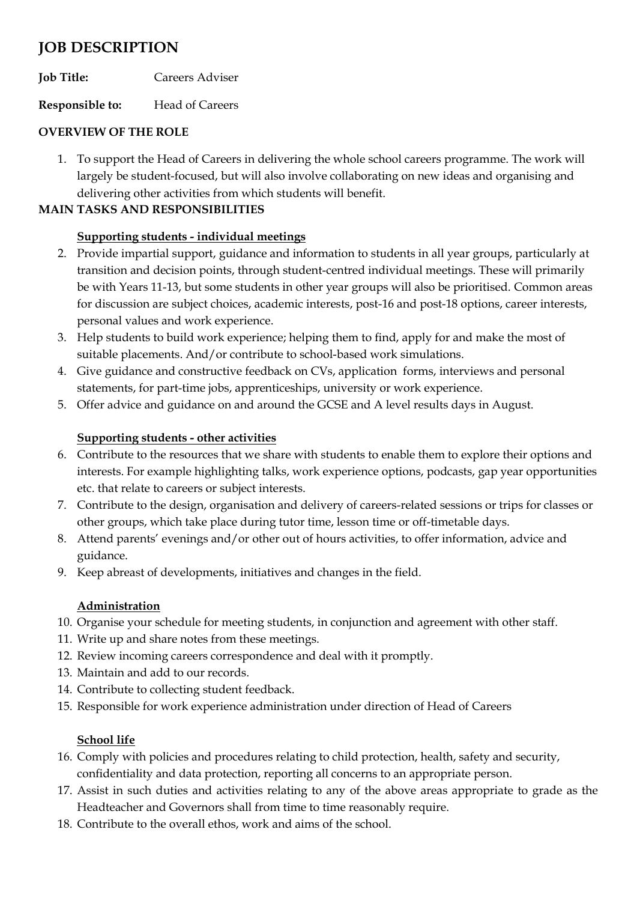# **JOB DESCRIPTION**

**Job Title:** Careers Adviser

**Responsible to:** Head of Careers

### **OVERVIEW OF THE ROLE**

1. To support the Head of Careers in delivering the whole school careers programme. The work will largely be student-focused, but will also involve collaborating on new ideas and organising and delivering other activities from which students will benefit.

### **MAIN TASKS AND RESPONSIBILITIES**

## **Supporting students - individual meetings**

- 2. Provide impartial support, guidance and information to students in all year groups, particularly at transition and decision points, through student-centred individual meetings. These will primarily be with Years 11-13, but some students in other year groups will also be prioritised. Common areas for discussion are subject choices, academic interests, post-16 and post-18 options, career interests, personal values and work experience.
- 3. Help students to build work experience; helping them to find, apply for and make the most of suitable placements. And/or contribute to school-based work simulations.
- 4. Give guidance and constructive feedback on CVs, application forms, interviews and personal statements, for part-time jobs, apprenticeships, university or work experience.
- 5. Offer advice and guidance on and around the GCSE and A level results days in August.

#### **Supporting students - other activities**

- 6. Contribute to the resources that we share with students to enable them to explore their options and interests. For example highlighting talks, work experience options, podcasts, gap year opportunities etc. that relate to careers or subject interests.
- 7. Contribute to the design, organisation and delivery of careers-related sessions or trips for classes or other groups, which take place during tutor time, lesson time or off-timetable days.
- 8. Attend parents' evenings and/or other out of hours activities, to offer information, advice and guidance.
- 9. Keep abreast of developments, initiatives and changes in the field.

## **Administration**

- 10. Organise your schedule for meeting students, in conjunction and agreement with other staff.
- 11. Write up and share notes from these meetings.
- 12. Review incoming careers correspondence and deal with it promptly.
- 13. Maintain and add to our records.
- 14. Contribute to collecting student feedback.
- 15. Responsible for work experience administration under direction of Head of Careers

## **School life**

- 16. Comply with policies and procedures relating to child protection, health, safety and security, confidentiality and data protection, reporting all concerns to an appropriate person.
- 17. Assist in such duties and activities relating to any of the above areas appropriate to grade as the Headteacher and Governors shall from time to time reasonably require.
- 18. Contribute to the overall ethos, work and aims of the school.